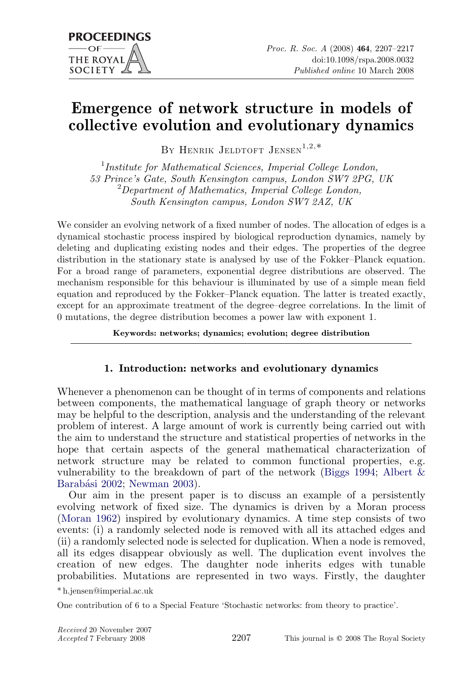# Emergence of network structure in models of collective evolution and evolutionary dynamics

BY HENRIK JELDTOFT JENSEN<sup>1,2,\*</sup>

<sup>1</sup>Institute for Mathematical Sciences, Imperial College London, 53 Prince's Gate, South Kensington campus, London SW7 2PG, UK <sup>2</sup>Department of Mathematics, Imperial College London, South Kensington campus, London SW7 2AZ, UK

We consider an evolving network of a fixed number of nodes. The allocation of edges is a dynamical stochastic process inspired by biological reproduction dynamics, namely by deleting and duplicating existing nodes and their edges. The properties of the degree distribution in the stationary state is analysed by use of the Fokker–Planck equation. For a broad range of parameters, exponential degree distributions are observed. The mechanism responsible for this behaviour is illuminated by use of a simple mean field equation and reproduced by the Fokker–Planck equation. The latter is treated exactly, except for an approximate treatment of the degree–degree correlations. In the limit of 0 mutations, the degree distribution becomes a power law with exponent 1.

Keywords: networks; dynamics; evolution; degree distribution

## 1. Introduction: networks and evolutionary dynamics

Whenever a phenomenon can be thought of in terms of components and relations between components, the mathematical language of graph theory or networks may be helpful to the description, analysis and the understanding of the relevant problem of interest. A large amount of work is currently being carried out with the aim to understand the structure and statistical properties of networks in the hope that certain aspects of the general mathematical characterization of network structure may be related to common functional properties, e.g. vulnerability to the breakdown of part of the network ([Biggs 1994;](#page-9-0) [Albert &](#page-9-0) Barabási 2002; [Newman 2003](#page-10-0)).

Our aim in the present paper is to discuss an example of a persistently evolving network of fixed size. The dynamics is driven by a Moran process [\(Moran 1962](#page-10-0)) inspired by evolutionary dynamics. A time step consists of two events: (i) a randomly selected node is removed with all its attached edges and (ii) a randomly selected node is selected for duplication. When a node is removed, all its edges disappear obviously as well. The duplication event involves the creation of new edges. The daughter node inherits edges with tunable probabilities. Mutations are represented in two ways. Firstly, the daughter

\* h.jensen@imperial.ac.uk

One contribution of 6 to a Special Feature 'Stochastic networks: from theory to practice'.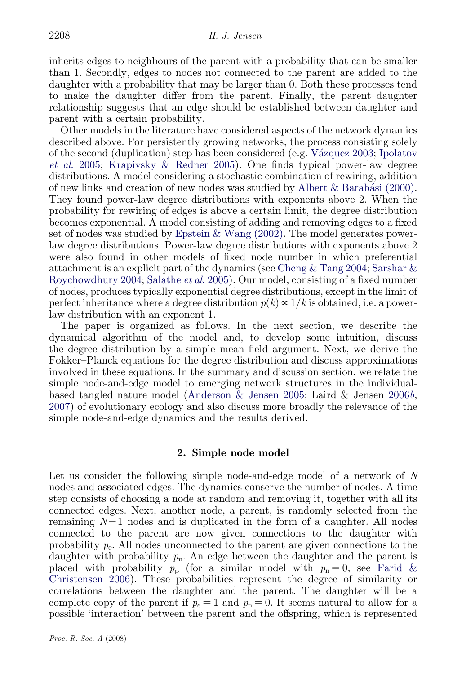inherits edges to neighbours of the parent with a probability that can be smaller than 1. Secondly, edges to nodes not connected to the parent are added to the daughter with a probability that may be larger than 0. Both these processes tend to make the daughter differ from the parent. Finally, the parent–daughter relationship suggests that an edge should be established between daughter and parent with a certain probability.

Other models in the literature have considered aspects of the network dynamics described above. For persistently growing networks, the process consisting solely of the second (duplication) step has been considered (e.g. [Va´zquez 2003;](#page-10-0) [Ipolatov](#page-10-0) et al[. 2005](#page-10-0); [Krapivsky & Redner 2005\)](#page-10-0). One finds typical power-law degree distributions. A model considering a stochastic combination of rewiring, addition of new links and creation of new nodes was studied by Albert  $\&$  Barabási (2000). They found power-law degree distributions with exponents above 2. When the probability for rewiring of edges is above a certain limit, the degree distribution becomes exponential. A model consisting of adding and removing edges to a fixed set of nodes was studied by [Epstein & Wang \(2002\)](#page-10-0). The model generates powerlaw degree distributions. Power-law degree distributions with exponents above 2 were also found in other models of fixed node number in which preferential attachment is an explicit part of the dynamics (see [Cheng & Tang 2004;](#page-9-0) [Sarshar &](#page-10-0) [Roychowdhury 2004](#page-10-0); [Salathe](#page-10-0) et al. 2005). Our model, consisting of a fixed number of nodes, produces typically exponential degree distributions, except in the limit of perfect inheritance where a degree distribution  $p(k) \propto 1/k$  is obtained, i.e. a powerlaw distribution with an exponent 1.

The paper is organized as follows. In the next section, we describe the dynamical algorithm of the model and, to develop some intuition, discuss the degree distribution by a simple mean field argument. Next, we derive the Fokker–Planck equations for the degree distribution and discuss approximations involved in these equations. In the summary and discussion section, we relate the simple node-and-edge model to emerging network structures in the individualbased tangled nature model ([Anderson & Jensen 2005](#page-9-0); Laird & Jensen [2006](#page-10-0)b, [2007\)](#page-10-0) of evolutionary ecology and also discuss more broadly the relevance of the simple node-and-edge dynamics and the results derived.

### 2. Simple node model

Let us consider the following simple node-and-edge model of a network of N nodes and associated edges. The dynamics conserve the number of nodes. A time step consists of choosing a node at random and removing it, together with all its connected edges. Next, another node, a parent, is randomly selected from the remaining  $N-1$  nodes and is duplicated in the form of a daughter. All nodes connected to the parent are now given connections to the daughter with probability  $p_e$ . All nodes unconnected to the parent are given connections to the daughter with probability  $p_n$ . An edge between the daughter and the parent is placed with probability  $p_p$  (for a similar model with  $p_n=0$ , see [Farid &](#page-10-0) [Christensen 2006](#page-10-0)). These probabilities represent the degree of similarity or correlations between the daughter and the parent. The daughter will be a complete copy of the parent if  $p_e=1$  and  $p_n=0$ . It seems natural to allow for a possible 'interaction' between the parent and the offspring, which is represented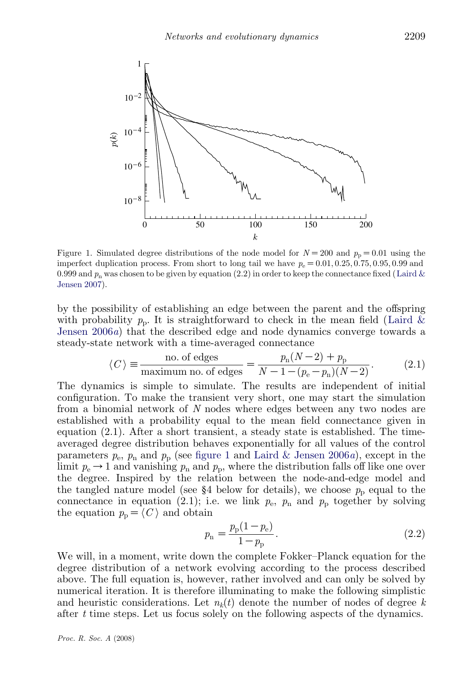<span id="page-2-0"></span>

Figure 1. Simulated degree distributions of the node model for  $N=200$  and  $p_{\text{p}}=0.01$  using the imperfect duplication process. From short to long tail we have  $p_e = 0.01, 0.25, 0.75, 0.95, 0.99$  and 0.999 and  $p_n$  was chosen to be given by equation (2.2) in order to keep the connectance fixed ([Laird &](#page-10-0) [Jensen 2007\)](#page-10-0).

by the possibility of establishing an edge between the parent and the offspring with probability  $p_p$ . It is straightforward to check in the mean field ([Laird &](#page-10-0) [Jensen 2006](#page-10-0)a) that the described edge and node dynamics converge towards a steady-state network with a time-averaged connectance

$$
\langle C \rangle \equiv \frac{\text{no. of edges}}{\text{maximum no. of edges}} = \frac{p_{\text{n}}(N-2) + p_{\text{p}}}{N-1 - (p_{\text{e}} - p_{\text{n}})(N-2)}.
$$
 (2.1)

The dynamics is simple to simulate. The results are independent of initial configuration. To make the transient very short, one may start the simulation from a binomial network of N nodes where edges between any two nodes are established with a probability equal to the mean field connectance given in equation (2.1). After a short transient, a steady state is established. The timeaveraged degree distribution behaves exponentially for all values of the control parameters  $p_e$ ,  $p_n$  and  $p_p$  (see figure 1 and [Laird & Jensen 2006](#page-10-0)a), except in the limit  $p_e \rightarrow 1$  and vanishing  $p_n$  and  $p_p$ , where the distribution falls off like one over the degree. Inspired by the relation between the node-and-edge model and the tangled nature model (see §4 below for details), we choose  $p_p$  equal to the connectance in equation (2.1); i.e. we link  $p_e$ ,  $p_n$  and  $p_p$  together by solving the equation  $p_{\text{p}} = \langle C \rangle$  and obtain

$$
p_{\rm n} = \frac{p_{\rm p}(1 - p_{\rm e})}{1 - p_{\rm p}}.\tag{2.2}
$$

We will, in a moment, write down the complete Fokker–Planck equation for the degree distribution of a network evolving according to the process described above. The full equation is, however, rather involved and can only be solved by numerical iteration. It is therefore illuminating to make the following simplistic and heuristic considerations. Let  $n_k(t)$  denote the number of nodes of degree k after t time steps. Let us focus solely on the following aspects of the dynamics.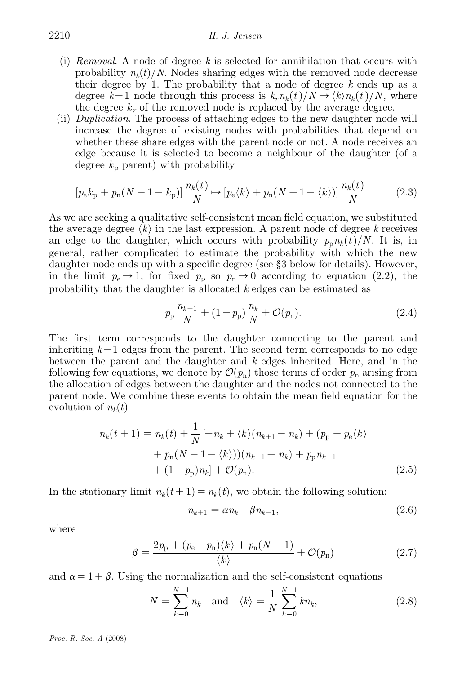- (i) Removal. A node of degree  $k$  is selected for annihilation that occurs with probability  $n_k(t)/N$ . Nodes sharing edges with the removed node decrease their degree by 1. The probability that a node of degree  $k$  ends up as a degree k-1 node through this process is  $k_r n_k(t)/N \mapsto \langle k \rangle n_k(t)/N$ , where the degree  $k_r$  of the removed node is replaced by the average degree.
- (ii) Duplication. The process of attaching edges to the new daughter node will increase the degree of existing nodes with probabilities that depend on whether these share edges with the parent node or not. A node receives an edge because it is selected to become a neighbour of the daughter (of a degree  $k_p$  parent) with probability

$$
[p_{\rm e}k_{\rm p} + p_{\rm n}(N-1-k_{\rm p})] \frac{n_{\rm k}(t)}{N} \mapsto [p_{\rm e}\langle k\rangle + p_{\rm n}(N-1-\langle k\rangle)] \frac{n_{\rm k}(t)}{N}.
$$
 (2.3)

As we are seeking a qualitative self-consistent mean field equation, we substituted the average degree  $\langle k \rangle$  in the last expression. A parent node of degree k receives an edge to the daughter, which occurs with probability  $p_{n}n_{k}(t)/N$ . It is, in general, rather complicated to estimate the probability with which the new daughter node ends up with a specific degree (see §3 below for details). However, in the limit  $p_e \rightarrow 1$ , for fixed  $p_p$  so  $p_n \rightarrow 0$  according to equation (2.2), the probability that the daughter is allocated k edges can be estimated as

$$
p_{\rm p} \frac{n_{k-1}}{N} + (1 - p_{\rm p}) \frac{n_k}{N} + \mathcal{O}(p_{\rm n}). \tag{2.4}
$$

The first term corresponds to the daughter connecting to the parent and inheriting  $k-1$  edges from the parent. The second term corresponds to no edge between the parent and the daughter and  $k$  edges inherited. Here, and in the following few equations, we denote by  $\mathcal{O}(p_n)$  those terms of order  $p_n$  arising from the allocation of edges between the daughter and the nodes not connected to the parent node. We combine these events to obtain the mean field equation for the evolution of  $n_k(t)$ 

$$
n_k(t+1) = n_k(t) + \frac{1}{N}[-n_k + \langle k \rangle(n_{k+1} - n_k) + (p_p + p_e \langle k \rangle
$$
  
+  $p_n(N-1-\langle k \rangle))(n_{k-1} - n_k) + p_p n_{k-1}$   
+  $(1-p_p)n_k] + \mathcal{O}(p_n).$  (2.5)

In the stationary limit  $n_k(t+1) = n_k(t)$ , we obtain the following solution:

$$
n_{k+1} = \alpha n_k - \beta n_{k-1},\tag{2.6}
$$

where

$$
\beta = \frac{2p_{\rm p} + (p_{\rm e} - p_{\rm n})\langle k \rangle + p_{\rm n}(N-1)}{\langle k \rangle} + \mathcal{O}(p_{\rm n}) \tag{2.7}
$$

and  $\alpha=1+\beta$ . Using the normalization and the self-consistent equations

$$
N = \sum_{k=0}^{N-1} n_k \text{ and } \langle k \rangle = \frac{1}{N} \sum_{k=0}^{N-1} k n_k,
$$
 (2.8)

Proc. R. Soc. A (2008)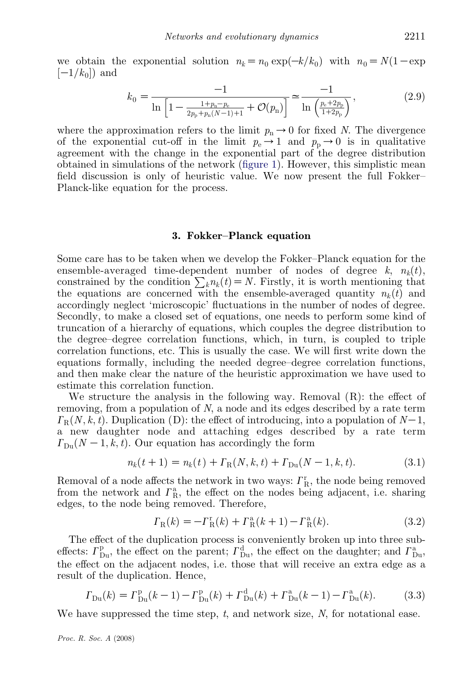we obtain the exponential solution  $n_k=n_0\exp(-k/k_0)$  with  $n_0=N(1-\exp$  $[-1/k_0]$  and

$$
k_0 = \frac{-1}{\ln\left[1 - \frac{1 + p_n - p_e}{2p_p + p_n(N-1) + 1} + \mathcal{O}(p_n)\right]} \approx \frac{-1}{\ln\left(\frac{p_e + 2p_p}{1 + 2p_p}\right)},\tag{2.9}
$$

where the approximation refers to the limit  $p_n \to 0$  for fixed N. The divergence of the exponential cut-off in the limit  $p_e \rightarrow 1$  and  $p_p \rightarrow 0$  is in qualitative agreement with the change in the exponential part of the degree distribution obtained in simulations of the network ([figure 1](#page-2-0)). However, this simplistic mean field discussion is only of heuristic value. We now present the full Fokker– Planck-like equation for the process.

#### 3. Fokker–Planck equation

Some care has to be taken when we develop the Fokker–Planck equation for the ensemble-averaged time-dependent number of nodes of degree  $k$ ,  $n_k(t)$ , constrained by the condition  $\sum_k n_k(t) = N$ . Firstly, it is worth mentioning that the equations are concerned with the ensemble-averaged quantity  $n_k(t)$  and accordingly neglect 'microscopic' fluctuations in the number of nodes of degree. Secondly, to make a closed set of equations, one needs to perform some kind of truncation of a hierarchy of equations, which couples the degree distribution to the degree–degree correlation functions, which, in turn, is coupled to triple correlation functions, etc. This is usually the case. We will first write down the equations formally, including the needed degree–degree correlation functions, and then make clear the nature of the heuristic approximation we have used to estimate this correlation function.

We structure the analysis in the following way. Removal  $(R)$ : the effect of removing, from a population of N, a node and its edges described by a rate term  $\Gamma_{\rm R}(N, k, t)$ . Duplication (D): the effect of introducing, into a population of  $N-1$ , a new daughter node and attaching edges described by a rate term  $\Gamma_{\text{Du}}(N-1,k,t)$ . Our equation has accordingly the form

$$
n_k(t+1) = n_k(t) + \Gamma_R(N, k, t) + \Gamma_{Du}(N-1, k, t).
$$
\n(3.1)

Removal of a node affects the network in two ways:  $\Gamma_{\rm R}^{\rm r}$ , the node being removed from the network and  $\Gamma_R^{\rm a}$ , the effect on the nodes being adjacent, i.e. sharing edges, to the node being removed. Therefore,

$$
\Gamma_{\rm R}(k) = -\Gamma_{\rm R}^{\rm r}(k) + \Gamma_{\rm R}^{\rm a}(k+1) - \Gamma_{\rm R}^{\rm a}(k). \tag{3.2}
$$

The effect of the duplication process is conveniently broken up into three subeffects:  $\Gamma_{\text{Du}}^{\text{p}}$ , the effect on the parent;  $\Gamma_{\text{Du}}^{\text{d}}$ , the effect on the daughter; and  $\Gamma_{\text{Du}}^{\text{a}}$ , the effect on the adjacent nodes, i.e. those that will receive an extra edge as a result of the duplication. Hence,

$$
\Gamma_{\text{Du}}(k) = \Gamma_{\text{Du}}^{\text{p}}(k-1) - \Gamma_{\text{Du}}^{\text{p}}(k) + \Gamma_{\text{Du}}^{\text{d}}(k) + \Gamma_{\text{Du}}^{\text{a}}(k-1) - \Gamma_{\text{Du}}^{\text{a}}(k). \tag{3.3}
$$

We have suppressed the time step,  $t$ , and network size,  $N$ , for notational ease.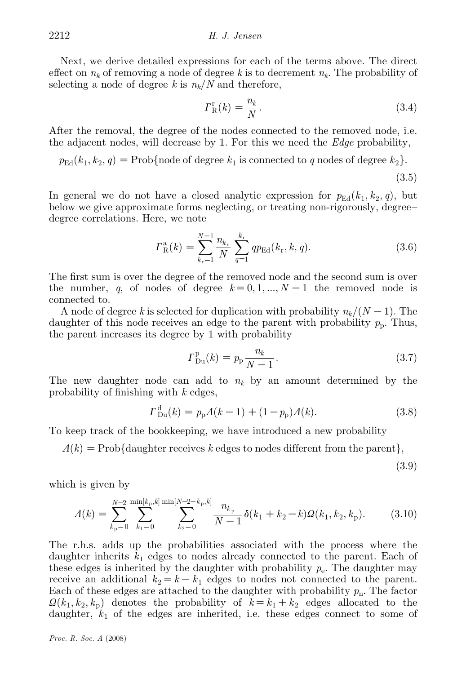Next, we derive detailed expressions for each of the terms above. The direct effect on  $n_k$  of removing a node of degree k is to decrement  $n_k$ . The probability of selecting a node of degree k is  $n_k/N$  and therefore,

$$
\Gamma_{\mathcal{R}}^{\mathbf{r}}(k) = \frac{n_k}{N}.\tag{3.4}
$$

After the removal, the degree of the nodes connected to the removed node, i.e. the adjacent nodes, will decrease by 1. For this we need the  $Edge$  probability,

 $p_{\text{Ed}}(k_1, k_2, q) = \text{Prob}\{\text{node of degree } k_1 \text{ is connected to } q \text{ nodes of degree } k_2\}.$ 

 $(3.5)$ 

In general we do not have a closed analytic expression for  $p_{\text{Ed}}(k_1, k_2, q)$ , but below we give approximate forms neglecting, or treating non-rigorously, degree– degree correlations. Here, we note

$$
\Gamma_{\rm R}^{\rm a}(k) = \sum_{k_{\rm r}=1}^{N-1} \frac{n_{k_{\rm r}}}{N} \sum_{q=1}^{k_{\rm r}} qp_{\rm Ed}(k_{\rm r}, k, q). \tag{3.6}
$$

The first sum is over the degree of the removed node and the second sum is over the number, q, of nodes of degree  $k=0, 1, ..., N-1$  the removed node is connected to.

A node of degree k is selected for duplication with probability  $n_k/(N-1)$ . The daughter of this node receives an edge to the parent with probability  $p_p$ . Thus, the parent increases its degree by 1 with probability

$$
\Gamma_{\text{Du}}^{\text{p}}(k) = p_{\text{p}} \frac{n_k}{N - 1}.
$$
\n(3.7)

The new daughter node can add to  $n_k$  by an amount determined by the probability of finishing with k edges,

$$
\Gamma_{\text{Du}}^{\text{d}}(k) = p_{\text{p}}A(k-1) + (1 - p_{\text{p}})A(k). \tag{3.8}
$$

To keep track of the bookkeeping, we have introduced a new probability

 $\Lambda(k) = \text{Prob}\{\text{ daughter receives } k \text{ edges to nodes different from the parent}\},\$ 

 $(3.9)$ 

which is given by

$$
A(k) = \sum_{k_{\rm p}=0}^{N-2} \sum_{k_{\rm 1}=0}^{\min[k_{\rm p},k]} \sum_{k_{\rm 2}=0}^{\min[N-2-k_{\rm p},k]} \frac{n_{k_{\rm p}}}{N-1} \delta(k_1+k_2-k) \Omega(k_1,k_2,k_{\rm p}). \tag{3.10}
$$

The r.h.s. adds up the probabilities associated with the process where the daughter inherits  $k_1$  edges to nodes already connected to the parent. Each of these edges is inherited by the daughter with probability  $p_e$ . The daughter may receive an additional  $k_2 = k - k_1$  edges to nodes not connected to the parent. Each of these edges are attached to the daughter with probability  $p_n$ . The factor  $\Omega(k_1, k_2, k_0)$  denotes the probability of  $k=k_1+k_2$  edges allocated to the daughter,  $k_1$  of the edges are inherited, i.e. these edges connect to some of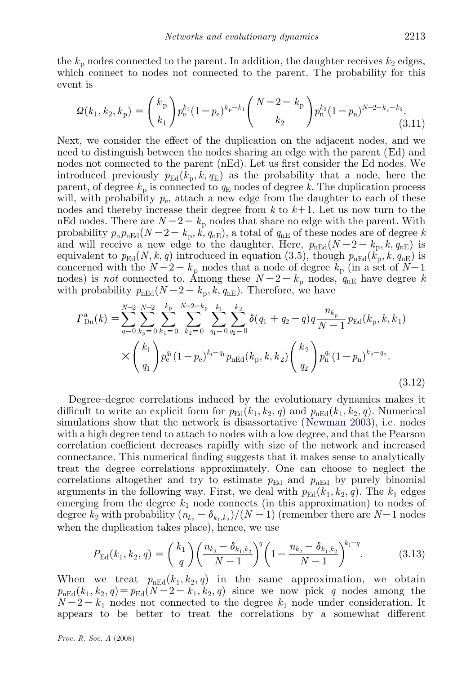the  $k_p$  nodes connected to the parent. In addition, the daughter receives  $k_2$  edges, which connect to nodes not connected to the parent. The probability for this event is

$$
\mathcal{Q}(k_1, k_2, k_\mathrm{p}) = \binom{k_\mathrm{p}}{k_1} p_\mathrm{e}^{k_1} (1 - p_\mathrm{e})^{k_\mathrm{p} - k_1} \binom{N - 2 - k_\mathrm{p}}{k_2} p_\mathrm{n}^{k_2} (1 - p_\mathrm{n})^{N - 2 - k_\mathrm{p} - k_2}.
$$
\n(3.11)

Next, we consider the effect of the duplication on the adjacent nodes, and we need to distinguish between the nodes sharing an edge with the parent (Ed) and nodes not connected to the parent (nEd). Let us first consider the Ed nodes. We introduced previously  $p_{\text{Ed}}(k_p, k, q_{\text{E}})$  as the probability that a node, here the parent, of degree  $k_p$  is connected to  $q_E$  nodes of degree k. The duplication process will, with probability  $p_e$ , attach a new edge from the daughter to each of these nodes and thereby increase their degree from  $k$  to  $k+1$ . Let us now turn to the nEd nodes. There are  $N-2-k<sub>p</sub>$  nodes that share no edge with the parent. With probability  $p_{n}p_{nEd}(N-2-k_{p}, k, q_{nE})$ , a total of  $q_{nE}$  of these nodes are of degree k and will receive a new edge to the daughter. Here,  $p_{nEd}(N-2-k_p, k, q_{nE})$  is equivalent to  $p_{\text{Ed}}(N, k, q)$  introduced in equation (3.5), though  $p_{\text{nEd}}(k_{\text{n}}, k, q_{\text{nE}})$  is concerned with the  $N-2-k_p$  nodes that a node of degree  $k_p$  (in a set of  $N-1$ ) nodes) is *not* connected to. Among these  $N-2-k_p$  nodes,  $q_{nE}$  have degree k with probability  $p_{nEd}(N-2-k_p, k, q_{nE})$ . Therefore, we have

$$
\Gamma_{\text{Du}}^{a}(k) = \sum_{q=0}^{N-2} \sum_{k_{\text{p}}=0}^{N-2} \sum_{k_{1}=0}^{k_{\text{p}}} \sum_{k_{2}=0}^{N-2-k_{\text{p}}} \sum_{q_{1}=0}^{k_{1}} \sum_{q_{2}=0}^{k_{2}} \delta(q_{1} + q_{2} - q) q \frac{n_{k_{\text{p}}}}{N-1} p_{\text{Ed}}(k_{\text{p}}, k, k_{1})
$$

$$
\times \binom{k_{1}}{q_{1}} p_{\text{e}}^{q_{1}} (1 - p_{\text{e}})^{k_{1} - q_{1}} p_{\text{nEd}}(k_{\text{p}}, k, k_{2}) \binom{k_{2}}{q_{2}} p_{\text{n}}^{q_{2}} (1 - p_{\text{n}})^{k_{2} - q_{2}}.
$$
\n(3.12)

Degree–degree correlations induced by the evolutionary dynamics makes it difficult to write an explicit form for  $p_{\text{Ed}}(k_1, k_2, q)$  and  $p_{\text{nEd}}(k_1, k_2, q)$ . Numerical simulations show that the network is disassortative ([Newman 2003](#page-10-0)), i.e. nodes with a high degree tend to attach to nodes with a low degree, and that the Pearson correlation coefficient decreases rapidly with size of the network and increased connectance. This numerical finding suggests that it makes sense to analytically treat the degree correlations approximately. One can choose to neglect the correlations altogether and try to estimate  $p_{\text{Ed}}$  and  $p_{\text{nEd}}$  by purely binomial arguments in the following way. First, we deal with  $p_{\text{Ed}}(k_1, k_2, q)$ . The  $k_1$  edges emerging from the degree  $k_1$  node connects (in this approximation) to nodes of degree  $k_2$  with probability  $(n_{k_2} - \delta_{k_1, k_2})/(N - 1)$  (remember there are  $N-1$  nodes when the duplication takes place), hence, we use

$$
P_{\rm Ed}(k_1, k_2, q) = {k_1 \choose q} \left(\frac{n_{k_2} - \delta_{k_1, k_2}}{N-1}\right)^q \left(1 - \frac{n_{k_2} - \delta_{k_1, k_2}}{N-1}\right)^{k_1 - q}.\tag{3.13}
$$

When we treat  $p_{nEd}(k_1, k_2, q)$  in the same approximation, we obtain  $p_{nEd}(k_1, k_2, q) = p_{Ed}(N-2-k_1, k_2, q)$  since we now pick q nodes among the  $N-2-k_1$  nodes not connected to the degree  $k_1$  node under consideration. It appears to be better to treat the correlations by a somewhat different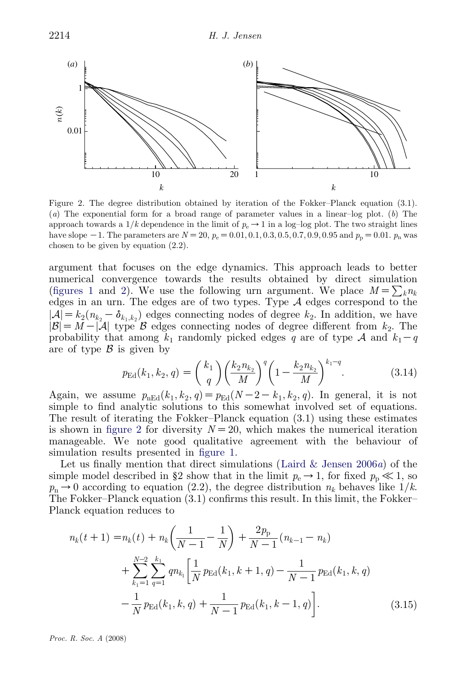

Figure 2. The degree distribution obtained by iteration of the Fokker–Planck equation (3.1). (a) The exponential form for a broad range of parameter values in a linear-log plot. (b) The approach towards a  $1/k$  dependence in the limit of  $p_e \rightarrow 1$  in a log-log plot. The two straight lines have slope  $-1$ . The parameters are  $N = 20$ ,  $p_e = 0.01, 0.1, 0.3, 0.5, 0.7, 0.9, 0.95$  and  $p_p = 0.01$ .  $p_n$  was chosen to be given by equation (2.2).

argument that focuses on the edge dynamics. This approach leads to better numerical convergence towards the results obtained by direct simulation [\(figures 1](#page-2-0) and 2). We use the following urn argument. We place  $M = \sum_k n_k$ edges in an urn. The edges are of two types. Type  $A$  edges correspond to the  $|\mathcal{A}| = k_2(n_{k_2} - \delta_{k_1,k_2})$  edges connecting nodes of degree  $k_2$ . In addition, we have  $|\mathcal{B}| = M - |\mathcal{A}|$  type  $\mathcal{B}$  edges connecting nodes of degree different from  $k_2$ . The probability that among  $k_1$  randomly picked edges q are of type A and  $k_1-q$ are of type  $\beta$  is given by

$$
p_{\rm Ed}(k_1, k_2, q) = {k_1 \choose q} \left(\frac{k_2 n_{k_2}}{M}\right)^q \left(1 - \frac{k_2 n_{k_2}}{M}\right)^{k_1 - q}.\tag{3.14}
$$

Again, we assume  $p_{nEd}(k_1, k_2, q) = p_{Ed}(N - 2 - k_1, k_2, q)$ . In general, it is not simple to find analytic solutions to this somewhat involved set of equations. The result of iterating the Fokker–Planck equation (3.1) using these estimates is shown in figure 2 for diversity  $N=20$ , which makes the numerical iteration manageable. We note good qualitative agreement with the behaviour of simulation results presented in [figure 1.](#page-2-0)

Let us finally mention that direct simulations (Laird  $\&$  Jensen 2006a) of the simple model described in §2 show that in the limit  $p_e \rightarrow 1$ , for fixed  $p_p \ll 1$ , so  $p_n\rightarrow 0$  according to equation (2.2), the degree distribution  $n_k$  behaves like  $1/k$ . The Fokker–Planck equation (3.1) confirms this result. In this limit, the Fokker– Planck equation reduces to

$$
n_k(t+1) = n_k(t) + n_k \left(\frac{1}{N-1} - \frac{1}{N}\right) + \frac{2p_p}{N-1} (n_{k-1} - n_k)
$$
  
+ 
$$
\sum_{k_1=1}^{N-2} \sum_{q=1}^{k_1} q n_{k_1} \left[\frac{1}{N} p_{\text{Ed}}(k_1, k+1, q) - \frac{1}{N-1} p_{\text{Ed}}(k_1, k, q) - \frac{1}{N} p_{\text{Ed}}(k_1, k, q) + \frac{1}{N-1} p_{\text{Ed}}(k_1, k-1, q)\right].
$$
 (3.15)

Proc. R. Soc. A (2008)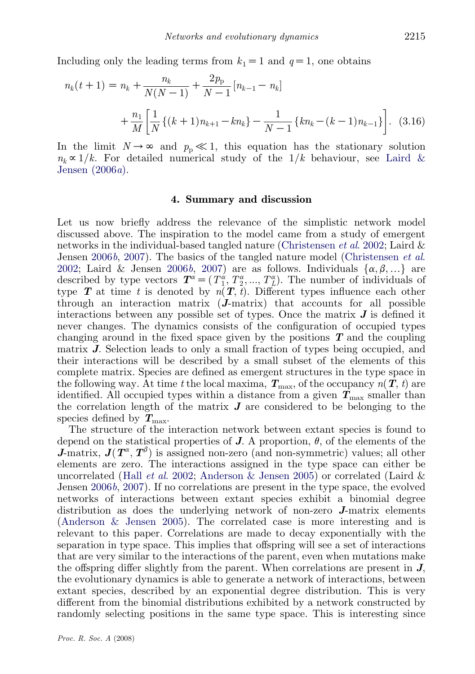Including only the leading terms from  $k_1=1$  and  $q=1$ , one obtains

$$
n_k(t+1) = n_k + \frac{n_k}{N(N-1)} + \frac{2p_{\rm p}}{N-1} [n_{k-1} - n_k]
$$
  
+ 
$$
\frac{n_1}{M} \left[ \frac{1}{N} \{ (k+1)n_{k+1} - kn_k \} - \frac{1}{N-1} \{ kn_k - (k-1)n_{k-1} \} \right].
$$
 (3.16)

In the limit  $N \to \infty$  and  $p_p \ll 1$ , this equation has the stationary solution  $n_k \propto 1/k$ . For detailed numerical study of the  $1/k$  behaviour, see [Laird &](#page-10-0) [Jensen \(2006](#page-10-0)a).

#### 4. Summary and discussion

Let us now briefly address the relevance of the simplistic network model discussed above. The inspiration to the model came from a study of emergent networks in the individual-based tangled nature [\(Christensen](#page-10-0) *et al.* 2002; Laird  $\&$ Jensen [2006](#page-10-0)b, [2007\)](#page-10-0). The basics of the tangled nature model [\(Christensen](#page-10-0) et al. [2002](#page-10-0); Laird & Jensen [2006](#page-10-0)b, [2007](#page-10-0)) are as follows. Individuals  $\{\alpha, \beta, ...\}$  are described by type vectors  $T^{\alpha} = (T_1^{\alpha}, T_2^{\alpha}, ..., T_L^{\alpha})$ . The number of individuals of type **T** at time t is denoted by  $n(T, t)$ . Different types influence each other through an interaction matrix  $(J\text{-}matrix)$  that accounts for all possible interactions between any possible set of types. Once the matrix  $J$  is defined it never changes. The dynamics consists of the configuration of occupied types changing around in the fixed space given by the positions  $T$  and the coupling matrix J. Selection leads to only a small fraction of types being occupied, and their interactions will be described by a small subset of the elements of this complete matrix. Species are defined as emergent structures in the type space in the following way. At time t the local maxima,  $T_{\text{max}}$ , of the occupancy  $n(T, t)$  are identified. All occupied types within a distance from a given  $T_{\text{max}}$  smaller than the correlation length of the matrix  $J$  are considered to be belonging to the species defined by  $T_{\text{max}}$ .

The structure of the interaction network between extant species is found to depend on the statistical properties of **J**. A proportion,  $\theta$ , of the elements of the **J**-matrix,  $J(T^{\alpha}, T^{\beta})$  is assigned non-zero (and non-symmetric) values; all other elements are zero. The interactions assigned in the type space can either be uncorrelated (Hall *et al.* 2002; [Anderson & Jensen 2005](#page-9-0)) or correlated (Laird & Jensen [2006](#page-10-0)b, [2007](#page-10-0)). If no correlations are present in the type space, the evolved networks of interactions between extant species exhibit a binomial degree distribution as does the underlying network of non-zero J-matrix elements [\(Anderson & Jensen 2005](#page-9-0)). The correlated case is more interesting and is relevant to this paper. Correlations are made to decay exponentially with the separation in type space. This implies that offspring will see a set of interactions that are very similar to the interactions of the parent, even when mutations make the offspring differ slightly from the parent. When correlations are present in  $J$ , the evolutionary dynamics is able to generate a network of interactions, between extant species, described by an exponential degree distribution. This is very different from the binomial distributions exhibited by a network constructed by randomly selecting positions in the same type space. This is interesting since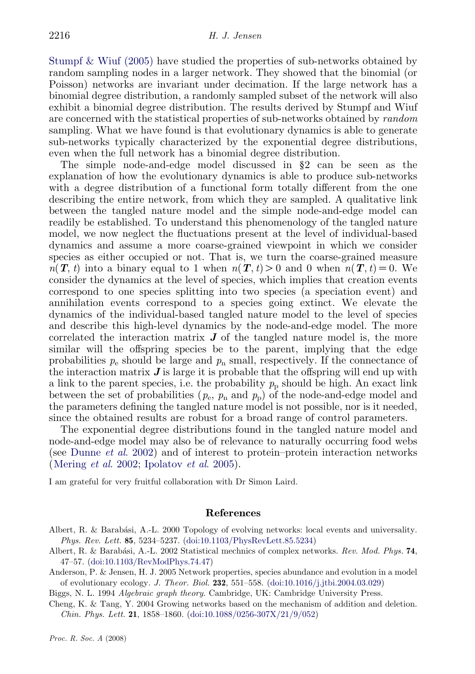<span id="page-9-0"></span>[Stumpf & Wiuf \(2005\)](#page-10-0) have studied the properties of sub-networks obtained by random sampling nodes in a larger network. They showed that the binomial (or Poisson) networks are invariant under decimation. If the large network has a binomial degree distribution, a randomly sampled subset of the network will also exhibit a binomial degree distribution. The results derived by Stumpf and Wiuf are concerned with the statistical properties of sub-networks obtained by random sampling. What we have found is that evolutionary dynamics is able to generate sub-networks typically characterized by the exponential degree distributions, even when the full network has a binomial degree distribution.

The simple node-and-edge model discussed in §2 can be seen as the explanation of how the evolutionary dynamics is able to produce sub-networks with a degree distribution of a functional form totally different from the one describing the entire network, from which they are sampled. A qualitative link between the tangled nature model and the simple node-and-edge model can readily be established. To understand this phenomenology of the tangled nature model, we now neglect the fluctuations present at the level of individual-based dynamics and assume a more coarse-grained viewpoint in which we consider species as either occupied or not. That is, we turn the coarse-grained measure  $n(T, t)$  into a binary equal to 1 when  $n(T, t) > 0$  and 0 when  $n(T, t) = 0$ . We consider the dynamics at the level of species, which implies that creation events correspond to one species splitting into two species (a speciation event) and annihilation events correspond to a species going extinct. We elevate the dynamics of the individual-based tangled nature model to the level of species and describe this high-level dynamics by the node-and-edge model. The more correlated the interaction matrix  $J$  of the tangled nature model is, the more similar will the offspring species be to the parent, implying that the edge probabilities  $p_e$  should be large and  $p_n$  small, respectively. If the connectance of the interaction matrix  $J$  is large it is probable that the offspring will end up with a link to the parent species, i.e. the probability  $p<sub>p</sub>$  should be high. An exact link between the set of probabilities  $(p_e, p_n \text{ and } p_p)$  of the node-and-edge model and the parameters defining the tangled nature model is not possible, nor is it needed, since the obtained results are robust for a broad range of control parameters.

The exponential degree distributions found in the tangled nature model and node-and-edge model may also be of relevance to naturally occurring food webs (see [Dunne](#page-10-0) et al. 2002) and of interest to protein–protein interaction networks ([Mering](#page-10-0) et al. 2002; [Ipolatov](#page-10-0) et al. 2005).

I am grateful for very fruitful collaboration with Dr Simon Laird.

#### References

- Albert, R. & Barabási, A.-L. 2000 Topology of evolving networks: local events and universality. Phys. Rev. Lett. 85, 5234–5237. [\(doi:10.1103/PhysRevLett.85.5234](http://dx.doi.org/doi:10.1103/PhysRevLett.85.5234))
- Albert, R. & Barabási, A.-L. 2002 Statistical mechnics of complex networks. Rev. Mod. Phys. 74, 47–57. [\(doi:10.1103/RevModPhys.74.47](http://dx.doi.org/doi:10.1103/RevModPhys.74.47))
- Anderson, P. & Jensen, H. J. 2005 Network properties, species abundance and evolution in a model of evolutionary ecology. J. Theor. Biol. 232, 551–558. ([doi:10.1016/j.jtbi.2004.03.029\)](http://dx.doi.org/doi:10.1016/j.jtbi.2004.03.029)
- Biggs, N. L. 1994 Algebraic graph theory. Cambridge, UK: Cambridge University Press.
- Cheng, K. & Tang, Y. 2004 Growing networks based on the mechanism of addition and deletion. Chin. Phys. Lett. 21, 1858–1860. ([doi:10.1088/0256-307X/21/9/052](http://dx.doi.org/doi:10.1088/0256-307X/21/9/052))